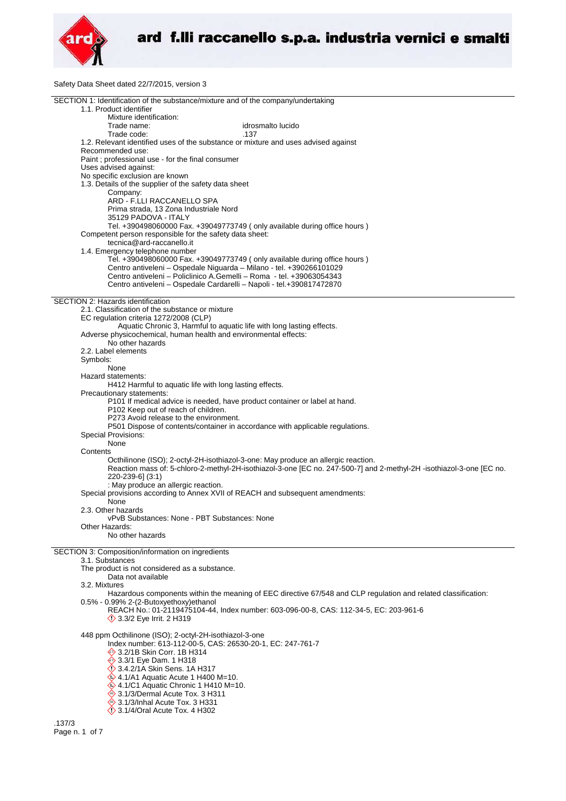

Safety Data Sheet dated 22/7/2015, version 3

| SECTION 1: Identification of the substance/mixture and of the company/undertaking                                                         |
|-------------------------------------------------------------------------------------------------------------------------------------------|
| 1.1. Product identifier                                                                                                                   |
| Mixture identification:                                                                                                                   |
| Trade name:<br>idrosmalto lucido                                                                                                          |
| Trade code:<br>.137                                                                                                                       |
| 1.2. Relevant identified uses of the substance or mixture and uses advised against                                                        |
| Recommended use:                                                                                                                          |
| Paint; professional use - for the final consumer<br>Uses advised against:                                                                 |
| No specific exclusion are known                                                                                                           |
| 1.3. Details of the supplier of the safety data sheet                                                                                     |
| Company:                                                                                                                                  |
| ARD - F.LLI RACCANELLO SPA                                                                                                                |
| Prima strada, 13 Zona Industriale Nord                                                                                                    |
| 35129 PADOVA - ITALY                                                                                                                      |
| Tel. +390498060000 Fax. +39049773749 (only available during office hours)                                                                 |
| Competent person responsible for the safety data sheet:                                                                                   |
| tecnica@ard-raccanello.it                                                                                                                 |
| 1.4. Emergency telephone number                                                                                                           |
| Tel. +390498060000 Fax. +39049773749 (only available during office hours)                                                                 |
| Centro antiveleni - Ospedale Niguarda - Milano - tel. +390266101029                                                                       |
| Centro antiveleni - Policlinico A.Gemelli - Roma - tel. +39063054343                                                                      |
| Centro antiveleni - Ospedale Cardarelli - Napoli - tel.+390817472870                                                                      |
|                                                                                                                                           |
| SECTION 2: Hazards identification                                                                                                         |
| 2.1. Classification of the substance or mixture                                                                                           |
| EC regulation criteria 1272/2008 (CLP)                                                                                                    |
| Aquatic Chronic 3, Harmful to aquatic life with long lasting effects.<br>Adverse physicochemical, human health and environmental effects: |
| No other hazards                                                                                                                          |
| 2.2. Label elements                                                                                                                       |
| Symbols:                                                                                                                                  |
| None                                                                                                                                      |
| Hazard statements:                                                                                                                        |
| H412 Harmful to aquatic life with long lasting effects.                                                                                   |
| Precautionary statements:                                                                                                                 |
| P101 If medical advice is needed, have product container or label at hand.                                                                |
| P102 Keep out of reach of children.                                                                                                       |
| P273 Avoid release to the environment.                                                                                                    |
| P501 Dispose of contents/container in accordance with applicable regulations.                                                             |
| Special Provisions:                                                                                                                       |
| None                                                                                                                                      |
| Contents                                                                                                                                  |
| Octhilinone (ISO); 2-octyl-2H-isothiazol-3-one: May produce an allergic reaction.                                                         |
| Reaction mass of: 5-chloro-2-methyl-2H-isothiazol-3-one [EC no. 247-500-7] and 2-methyl-2H -isothiazol-3-one [EC no.                      |
| 220-239-6] (3:1)                                                                                                                          |
| : May produce an allergic reaction.                                                                                                       |
| Special provisions according to Annex XVII of REACH and subsequent amendments:<br>None                                                    |
| 2.3. Other hazards                                                                                                                        |
| vPvB Substances: None - PBT Substances: None                                                                                              |
| Other Hazards:                                                                                                                            |
| No other hazards                                                                                                                          |
|                                                                                                                                           |
| SECTION 3: Composition/information on ingredients                                                                                         |
| 3.1. Substances                                                                                                                           |
| The product is not considered as a substance.                                                                                             |
| Data not available                                                                                                                        |
| 3.2. Mixtures                                                                                                                             |
| Hazardous components within the meaning of EEC directive 67/548 and CLP regulation and related classification:                            |
| 0.5% - 0.99% 2-(2-Butoxyethoxy)ethanol<br>REACH No.: 01-2119475104-44, Index number: 603-096-00-8, CAS: 112-34-5, EC: 203-961-6           |
| $\Diamond$ 3.3/2 Eye Irrit. 2 H319                                                                                                        |
|                                                                                                                                           |
| 448 ppm Octhilinone (ISO); 2-octyl-2H-isothiazol-3-one                                                                                    |
| Index number: 613-112-00-5, CAS: 26530-20-1, EC: 247-761-7                                                                                |
| $\otimes$ 3.2/1B Skin Corr. 1B H314                                                                                                       |
| $\textcircled{\LARGE}$ 3.3/1 Eye Dam. 1 H318                                                                                              |
| <b>◯ 3.4.2/1A Skin Sens. 1A H317</b>                                                                                                      |
| $\leftrightarrow$ 4.1/A1 Aquatic Acute 1 H400 M=10.                                                                                       |
| $\leftrightarrow$ 4.1/C1 Aquatic Chronic 1 H410 M=10.                                                                                     |
| → 3.1/3/Dermal Acute Tox. 3 H311                                                                                                          |
| → 3.1/3/Inhal Acute Tox. 3 H331                                                                                                           |
| $\langle$ 3.1/4/Oral Acute Tox. 4 H302                                                                                                    |
|                                                                                                                                           |

.137/3 Page n. 1 of 7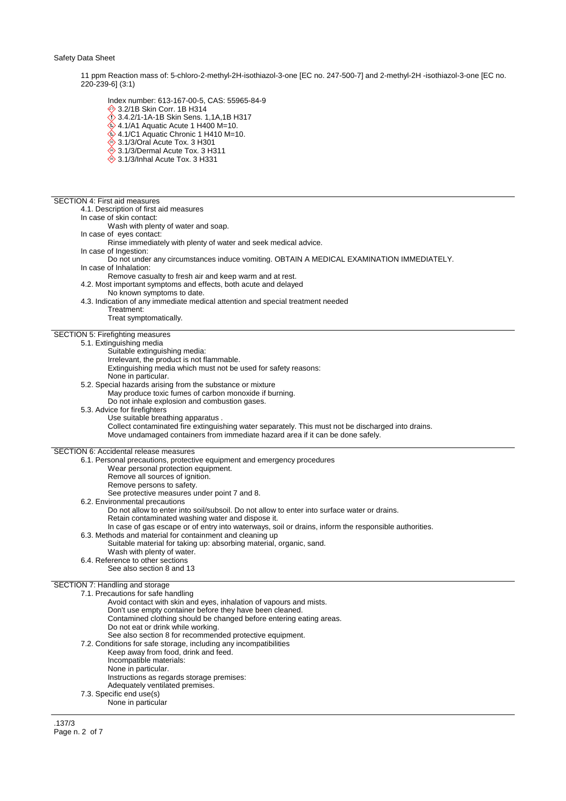11 ppm Reaction mass of: 5-chloro-2-methyl-2H-isothiazol-3-one [EC no. 247-500-7] and 2-methyl-2H -isothiazol-3-one [EC no. 220-239-6] (3:1)

Index number: 613-167-00-5, CAS: 55965-84-9

- 3.2/1B Skin Corr. 1B H314
- 3.4.2/1-1A-1B Skin Sens. 1,1A,1B H317
- $\leftrightarrow$  4.1/A1 Aquatic Acute 1 H400 M=10.  $\leftrightarrow$  4.1/C1 Aquatic Chronic 1 H410 M=10.
- $\overset{\triangle}{\Leftrightarrow}$  3.1/3/Oral Acute Tox. 3 H301
- 
- ♦ 3.1/3/Dermal Acute Tox. 3 H311  $\hat{\otimes}$  3.1/3/Inhal Acute Tox. 3 H331
- 

## SECTION 4: First aid measures

4.1. Description of first aid measures

- In case of skin contact:
	- Wash with plenty of water and soap.
- In case of eyes contact:
	- Rinse immediately with plenty of water and seek medical advice.
- In case of Ingestion:
	- Do not under any circumstances induce vomiting. OBTAIN A MEDICAL EXAMINATION IMMEDIATELY.
- In case of Inhalation:
- Remove casualty to fresh air and keep warm and at rest.
- 4.2. Most important symptoms and effects, both acute and delayed
	- No known symptoms to date.
- 4.3. Indication of any immediate medical attention and special treatment needed
	- Treatment:
		- Treat symptomatically.

# SECTION 5: Firefighting measures

- 5.1. Extinguishing media
	- Suitable extinguishing media:
	- Irrelevant, the product is not flammable.
	- Extinguishing media which must not be used for safety reasons:
	- None in particular.
	- 5.2. Special hazards arising from the substance or mixture
		- May produce toxic fumes of carbon monoxide if burning.
		- Do not inhale explosion and combustion gases.
	- 5.3. Advice for firefighters
		- Use suitable breathing apparatus .
			- Collect contaminated fire extinguishing water separately. This must not be discharged into drains.
			- Move undamaged containers from immediate hazard area if it can be done safely.

SECTION 6: Accidental release measures

- 6.1. Personal precautions, protective equipment and emergency procedures Wear personal protection equipment. Remove all sources of ignition. Remove persons to safety. See protective measures under point 7 and 8. 6.2. Environmental precautions Do not allow to enter into soil/subsoil. Do not allow to enter into surface water or drains. Retain contaminated washing water and dispose it. In case of gas escape or of entry into waterways, soil or drains, inform the responsible authorities. 6.3. Methods and material for containment and cleaning up
	- Suitable material for taking up: absorbing material, organic, sand.
		- Wash with plenty of water.
	- 6.4. Reference to other sections
		- See also section 8 and 13

## SECTION 7: Handling and storage

| 7.1. Precautions for safe handling                                  |
|---------------------------------------------------------------------|
| Avoid contact with skin and eyes, inhalation of vapours and mists.  |
| Don't use empty container before they have been cleaned.            |
| Contamined clothing should be changed before entering eating areas. |
| Do not eat or drink while working.                                  |
| See also section 8 for recommended protective equipment.            |
| 7.2. Conditions for safe storage, including any incompatibilities   |
| Keep away from food, drink and feed.                                |
| Incompatible materials:                                             |
| None in particular.                                                 |
| Instructions as regards storage premises:                           |
| Adequately ventilated premises.                                     |
| 7.3. Specific end use(s)                                            |
| None in particular                                                  |

.137/3 Page n. 2 of 7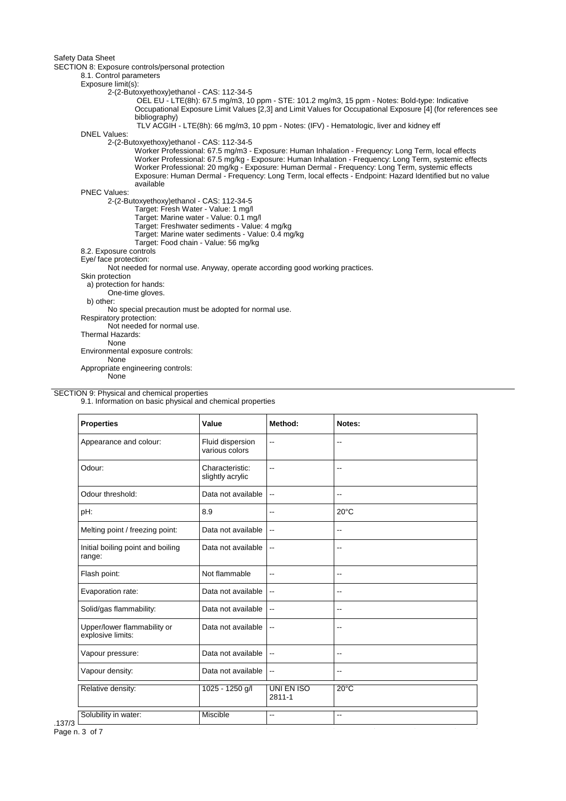SECTION 8: Exposure controls/personal protection

# 8.1. Control parameters

Exposure limit(s):

2-(2-Butoxyethoxy)ethanol - CAS: 112-34-5

 OEL EU - LTE(8h): 67.5 mg/m3, 10 ppm - STE: 101.2 mg/m3, 15 ppm - Notes: Bold-type: Indicative Occupational Exposure Limit Values [2,3] and Limit Values for Occupational Exposure [4] (for references see bibliography)

TLV ACGIH - LTE(8h): 66 mg/m3, 10 ppm - Notes: (IFV) - Hematologic, liver and kidney eff

DNEL Values:

2-(2-Butoxyethoxy)ethanol - CAS: 112-34-5

Worker Professional: 67.5 mg/m3 - Exposure: Human Inhalation - Frequency: Long Term, local effects Worker Professional: 67.5 mg/kg - Exposure: Human Inhalation - Frequency: Long Term, systemic effects Worker Professional: 20 mg/kg - Exposure: Human Dermal - Frequency: Long Term, systemic effects Exposure: Human Dermal - Frequency: Long Term, local effects - Endpoint: Hazard Identified but no value available

PNEC Values:

2-(2-Butoxyethoxy)ethanol - CAS: 112-34-5

- Target: Fresh Water Value: 1 mg/l
- Target: Marine water Value: 0.1 mg/l
- Target: Freshwater sediments Value: 4 mg/kg
- Target: Marine water sediments Value: 0.4 mg/kg
- Target: Food chain Value: 56 mg/kg
- 8.2. Exposure controls

Eye/ face protection:

Not needed for normal use. Anyway, operate according good working practices.

Skin protection

- a) protection for hands:
- One-time gloves.

b) other:

No special precaution must be adopted for normal use.

Respiratory protection:

Not needed for normal use.

Thermal Hazards:

None Environmental exposure controls:

None

Appropriate engineering controls:

None

## SECTION 9: Physical and chemical properties

9.1. Information on basic physical and chemical properties

| <b>Properties</b>                                | Value                               | Method:                  | Notes:                   |
|--------------------------------------------------|-------------------------------------|--------------------------|--------------------------|
| Appearance and colour:                           | Fluid dispersion<br>various colors  | $-$                      | $\overline{a}$           |
| Odour:                                           | Characteristic:<br>slightly acrylic | $\overline{a}$           | $-$                      |
| Odour threshold:                                 | Data not available                  | $\overline{\phantom{a}}$ | $\overline{\phantom{a}}$ |
| pH:                                              | 8.9                                 | $\overline{\phantom{a}}$ | $20^{\circ}$ C           |
| Melting point / freezing point:                  | Data not available                  | $\overline{\phantom{a}}$ | $\overline{\phantom{a}}$ |
| Initial boiling point and boiling<br>range:      | Data not available                  | --                       | $-$                      |
| Flash point:                                     | Not flammable                       | $\overline{\phantom{a}}$ | $\overline{\phantom{a}}$ |
| Evaporation rate:                                | Data not available                  | $\overline{a}$           | $\overline{\phantom{a}}$ |
| Solid/gas flammability:                          | Data not available                  | $\overline{\phantom{a}}$ | $\overline{\phantom{a}}$ |
| Upper/lower flammability or<br>explosive limits: | Data not available                  | --                       | $\overline{\phantom{a}}$ |
| Vapour pressure:                                 | Data not available                  | $\overline{\phantom{a}}$ | $\overline{a}$           |
| Vapour density:                                  | Data not available                  | $\overline{\phantom{a}}$ | $\overline{\phantom{a}}$ |
| Relative density:                                | 1025 - 1250 g/l                     | UNI EN ISO<br>2811-1     | $20^{\circ}$ C           |
| Solubility in water:                             | Miscible                            | $\overline{a}$           | $\overline{a}$           |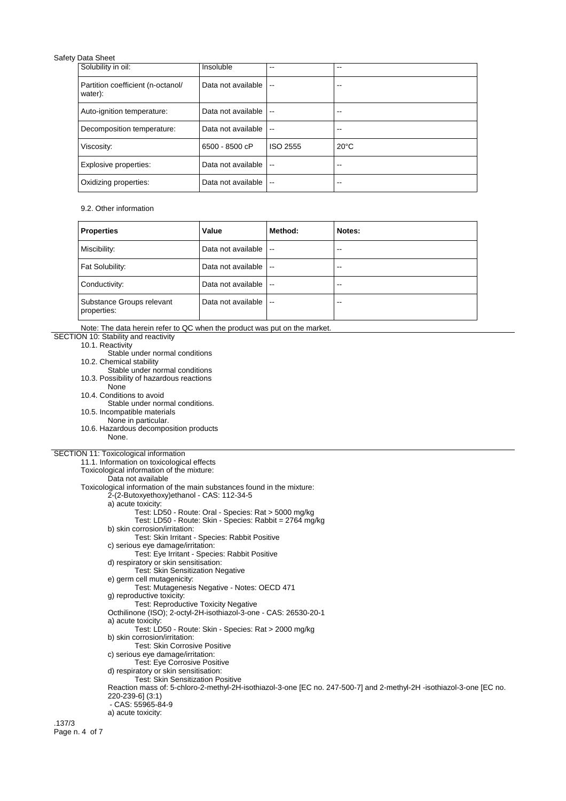| Solubility in oil:                           | Insoluble          | --                       | --             |
|----------------------------------------------|--------------------|--------------------------|----------------|
| Partition coefficient (n-octanol/<br>water): | Data not available | $\overline{\phantom{a}}$ |                |
| Auto-ignition temperature:                   | Data not available | $\sim$                   | --             |
| Decomposition temperature:                   | Data not available | $\overline{a}$           | --             |
| Viscosity:                                   | 6500 - 8500 cP     | ISO 2555                 | $20^{\circ}$ C |
| Explosive properties:                        | Data not available | $\overline{a}$           | --             |
| Oxidizing properties:                        | Data not available | $\overline{\phantom{a}}$ | --             |

# 9.2. Other information

| <b>Properties</b>                        | Value              | Method:                  | Notes: |
|------------------------------------------|--------------------|--------------------------|--------|
| Miscibility:                             | Data not available | $\overline{\phantom{a}}$ | --     |
| Fat Solubility:                          | Data not available | $\sim$ $\sim$            | --     |
| Conductivity:                            | Data not available | $\sim$ $\sim$            | --     |
| Substance Groups relevant<br>properties: | Data not available | .<br>                    | --     |

 $\overline{\phantom{a}}$ Note: The data herein refer to OC when the product was put on the mark

| Note: The data herein refer to QC when the product was put on the market.                                            |
|----------------------------------------------------------------------------------------------------------------------|
| SECTION 10: Stability and reactivity                                                                                 |
| 10.1. Reactivity                                                                                                     |
| Stable under normal conditions                                                                                       |
| 10.2. Chemical stability                                                                                             |
| Stable under normal conditions                                                                                       |
| 10.3. Possibility of hazardous reactions                                                                             |
| None                                                                                                                 |
| 10.4. Conditions to avoid                                                                                            |
| Stable under normal conditions.                                                                                      |
| 10.5. Incompatible materials                                                                                         |
| None in particular.                                                                                                  |
| 10.6. Hazardous decomposition products                                                                               |
| None.                                                                                                                |
|                                                                                                                      |
| SECTION 11: Toxicological information                                                                                |
| 11.1. Information on toxicological effects                                                                           |
| Toxicological information of the mixture:                                                                            |
|                                                                                                                      |
| Data not available                                                                                                   |
| Toxicological information of the main substances found in the mixture:                                               |
| 2-(2-Butoxyethoxy)ethanol - CAS: 112-34-5                                                                            |
| a) acute toxicity:                                                                                                   |
| Test: LD50 - Route: Oral - Species: Rat > 5000 mg/kg                                                                 |
| Test: LD50 - Route: Skin - Species: Rabbit = 2764 mg/kg                                                              |
| b) skin corrosion/irritation:                                                                                        |
| Test: Skin Irritant - Species: Rabbit Positive                                                                       |
| c) serious eye damage/irritation:                                                                                    |
| Test: Eye Irritant - Species: Rabbit Positive                                                                        |
| d) respiratory or skin sensitisation:                                                                                |
| Test: Skin Sensitization Negative                                                                                    |
| e) germ cell mutagenicity:                                                                                           |
| Test: Mutagenesis Negative - Notes: OECD 471                                                                         |
| g) reproductive toxicity:                                                                                            |
| Test: Reproductive Toxicity Negative                                                                                 |
| Octhilinone (ISO); 2-octyl-2H-isothiazol-3-one - CAS: 26530-20-1                                                     |
| a) acute toxicity:                                                                                                   |
| Test: LD50 - Route: Skin - Species: Rat > 2000 mg/kg                                                                 |
| b) skin corrosion/irritation:                                                                                        |
| <b>Test: Skin Corrosive Positive</b>                                                                                 |
| c) serious eye damage/irritation:                                                                                    |
| Test: Eye Corrosive Positive                                                                                         |
| d) respiratory or skin sensitisation:                                                                                |
| <b>Test: Skin Sensitization Positive</b>                                                                             |
| Reaction mass of: 5-chloro-2-methyl-2H-isothiazol-3-one [EC no. 247-500-7] and 2-methyl-2H -isothiazol-3-one [EC no. |
| 220-239-6] (3:1)                                                                                                     |
| - CAS: 55965-84-9                                                                                                    |
| a) acute toxicity:                                                                                                   |
| .137/3                                                                                                               |
|                                                                                                                      |
| Page n. 4 of 7                                                                                                       |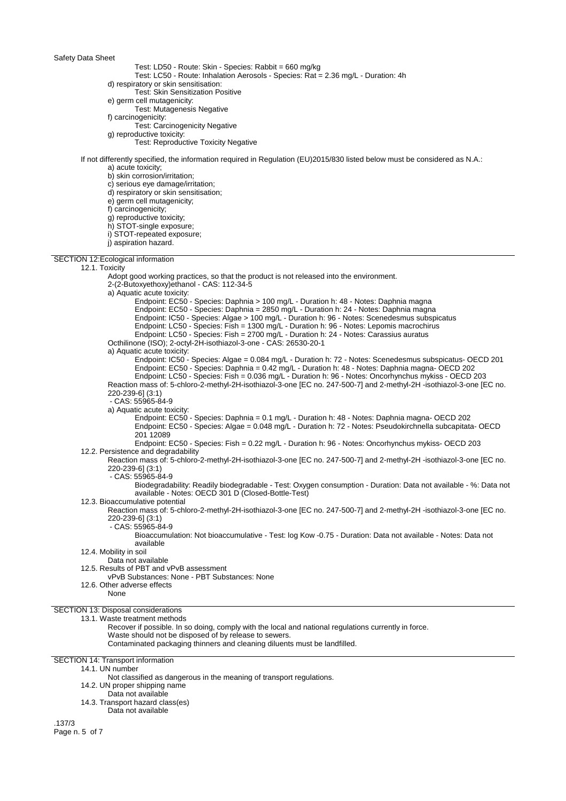- Test: LD50 Route: Skin Species: Rabbit = 660 mg/kg
	- Test: LC50 Route: Inhalation Aerosols Species: Rat = 2.36 mg/L Duration: 4h
- d) respiratory or skin sensitisation:
- Test: Skin Sensitization Positive e) germ cell mutagenicity:
- Test: Mutagenesis Negative
- f) carcinogenicity:
	- Test: Carcinogenicity Negative
- g) reproductive toxicity:
	- Test: Reproductive Toxicity Negative

## If not differently specified, the information required in Regulation (EU)2015/830 listed below must be considered as N.A.: a) acute toxicity;

b) skin corrosion/irritation;

c) serious eye damage/irritation;

d) respiratory or skin sensitisation;

e) germ cell mutagenicity;

f) carcinogenicity;

g) reproductive toxicity;

- h) STOT-single exposure;
- i) STOT-repeated exposure;
- j) aspiration hazard.
- SECTION 12:Ecological information

12.1. Toxicity Adopt good working practices, so that the product is not released into the environment. 2-(2-Butoxyethoxy)ethanol - CAS: 112-34-5 a) Aquatic acute toxicity: Endpoint: EC50 - Species: Daphnia > 100 mg/L - Duration h: 48 - Notes: Daphnia magna Endpoint: EC50 - Species: Daphnia = 2850 mg/L - Duration h: 24 - Notes: Daphnia magna Endpoint: IC50 - Species: Algae > 100 mg/L - Duration h: 96 - Notes: Scenedesmus subspicatus Endpoint: LC50 - Species: Fish = 1300 mg/L - Duration h: 96 - Notes: Lepomis macrochirus Endpoint: LC50 - Species: Fish = 2700 mg/L - Duration h: 24 - Notes: Carassius auratus Octhilinone (ISO); 2-octyl-2H-isothiazol-3-one - CAS: 26530-20-1 a) Aquatic acute toxicity: Endpoint: IC50 - Species: Algae = 0.084 mg/L - Duration h: 72 - Notes: Scenedesmus subspicatus- OECD 201 Endpoint: EC50 - Species: Daphnia = 0.42 mg/L - Duration h: 48 - Notes: Daphnia magna- OECD 202 Endpoint: LC50 - Species: Fish = 0.036 mg/L - Duration h: 96 - Notes: Oncorhynchus mykiss - OECD 203 Reaction mass of: 5-chloro-2-methyl-2H-isothiazol-3-one [EC no. 247-500-7] and 2-methyl-2H -isothiazol-3-one [EC no. 220-239-6] (3:1) - CAS: 55965-84-9 a) Aquatic acute toxicity: Endpoint: EC50 - Species: Daphnia = 0.1 mg/L - Duration h: 48 - Notes: Daphnia magna- OECD 202 Endpoint: EC50 - Species: Algae = 0.048 mg/L - Duration h: 72 - Notes: Pseudokirchnella subcapitata- OECD 201 12089 Endpoint: EC50 - Species: Fish = 0.22 mg/L - Duration h: 96 - Notes: Oncorhynchus mykiss- OECD 203 12.2. Persistence and degradability Reaction mass of: 5-chloro-2-methyl-2H-isothiazol-3-one [EC no. 247-500-7] and 2-methyl-2H -isothiazol-3-one [EC no. 220-239-6] (3:1) - CAS: 55965-84-9 Biodegradability: Readily biodegradable - Test: Oxygen consumption - Duration: Data not available - %: Data not available - Notes: OECD 301 D (Closed-Bottle-Test) 12.3. Bioaccumulative potential Reaction mass of: 5-chloro-2-methyl-2H-isothiazol-3-one [EC no. 247-500-7] and 2-methyl-2H -isothiazol-3-one [EC no. 220-239-6] (3:1) - CAS: 55965-84-9 Bioaccumulation: Not bioaccumulative - Test: log Kow -0.75 - Duration: Data not available - Notes: Data not available 12.4. Mobility in soil Data not available 12.5. Results of PBT and vPvB assessment vPvB Substances: None - PBT Substances: None 12.6. Other adverse effects None SECTION 13: Disposal considerations 13.1. Waste treatment methods Recover if possible. In so doing, comply with the local and national regulations currently in force. Waste should not be disposed of by release to sewers. Contaminated packaging thinners and cleaning diluents must be landfilled. SECTION 14: Transport information 14.1. UN number Not classified as dangerous in the meaning of transport regulations. 14.2. UN proper shipping name

- 
- Data not available
- 14.3. Transport hazard class(es)
	- Data not available

.137/3 Page n. 5 of 7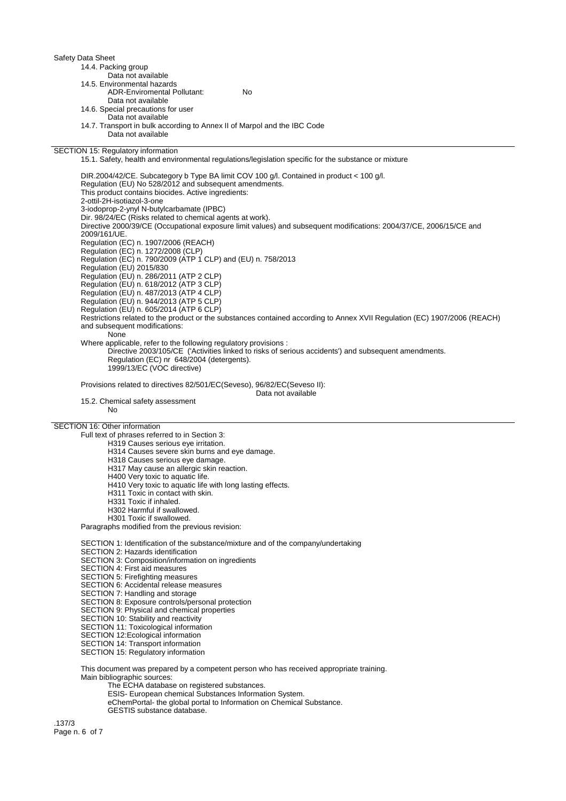| 14.4. Packing group                                                      |     |
|--------------------------------------------------------------------------|-----|
| Data not available                                                       |     |
| 14.5. Environmental hazards                                              |     |
| <b>ADR-Enviromental Pollutant:</b>                                       | No. |
| Data not available                                                       |     |
| 14.6. Special precautions for user                                       |     |
| Data not available                                                       |     |
| 14.7. Transport in bulk according to Annex II of Marpol and the IBC Code |     |
| Data not available                                                       |     |

SECTION 15: Regulatory information

15.1. Safety, health and environmental regulations/legislation specific for the substance or mixture

DIR.2004/42/CE. Subcategory b Type BA limit COV 100 g/l. Contained in product < 100 g/l. Regulation (EU) No 528/2012 and subsequent amendments. This product contains biocides. Active ingredients: 2-ottil-2H-isotiazol-3-one 3-iodoprop-2-ynyl N-butylcarbamate (IPBC) Dir. 98/24/EC (Risks related to chemical agents at work). Directive 2000/39/CE (Occupational exposure limit values) and subsequent modifications: 2004/37/CE, 2006/15/CE and 2009/161/UE. Regulation (EC) n. 1907/2006 (REACH) Regulation (EC) n. 1272/2008 (CLP) Regulation (EC) n. 790/2009 (ATP 1 CLP) and (EU) n. 758/2013 Regulation (EU) 2015/830 Regulation (EU) n. 286/2011 (ATP 2 CLP) Regulation (EU) n. 618/2012 (ATP 3 CLP) Regulation (EU) n. 487/2013 (ATP 4 CLP) Regulation (EU) n. 944/2013 (ATP 5 CLP) Regulation (EU) n. 605/2014 (ATP 6 CLP) Restrictions related to the product or the substances contained according to Annex XVII Regulation (EC) 1907/2006 (REACH) and subsequent modifications: None Where applicable, refer to the following regulatory provisions : Directive 2003/105/CE ('Activities linked to risks of serious accidents') and subsequent amendments. Regulation (EC) nr 648/2004 (detergents). 1999/13/EC (VOC directive)

Provisions related to directives 82/501/EC(Seveso), 96/82/EC(Seveso II):

Data not available

15.2. Chemical safety assessment

No

SECTION 16: Other information

Full text of phrases referred to in Section 3:

H319 Causes serious eye irritation.

- H314 Causes severe skin burns and eye damage.
- H318 Causes serious eye damage.
- H317 May cause an allergic skin reaction.
- H400 Very toxic to aquatic life.
- H410 Very toxic to aquatic life with long lasting effects.
- H311 Toxic in contact with skin.
- H331 Toxic if inhaled.
- H302 Harmful if swallowed.

H301 Toxic if swallowed.

Paragraphs modified from the previous revision:

SECTION 1: Identification of the substance/mixture and of the company/undertaking

SECTION 2: Hazards identification

- SECTION 3: Composition/information on ingredients
- SECTION 4: First aid measures
- SECTION 5: Firefighting measures

SECTION 6: Accidental release measures

- SECTION 7: Handling and storage
- SECTION 8: Exposure controls/personal protection
- SECTION 9: Physical and chemical properties
- SECTION 10: Stability and reactivity
- SECTION 11: Toxicological information
- SECTION 12:Ecological information
- SECTION 14: Transport information
- SECTION 15: Regulatory information

This document was prepared by a competent person who has received appropriate training. Main bibliographic sources:

The ECHA database on registered substances.

- ESIS- European chemical Substances Information System.
- eChemPortal- the global portal to Information on Chemical Substance.
- GESTIS substance database.

.137/3 Page n. 6 of 7